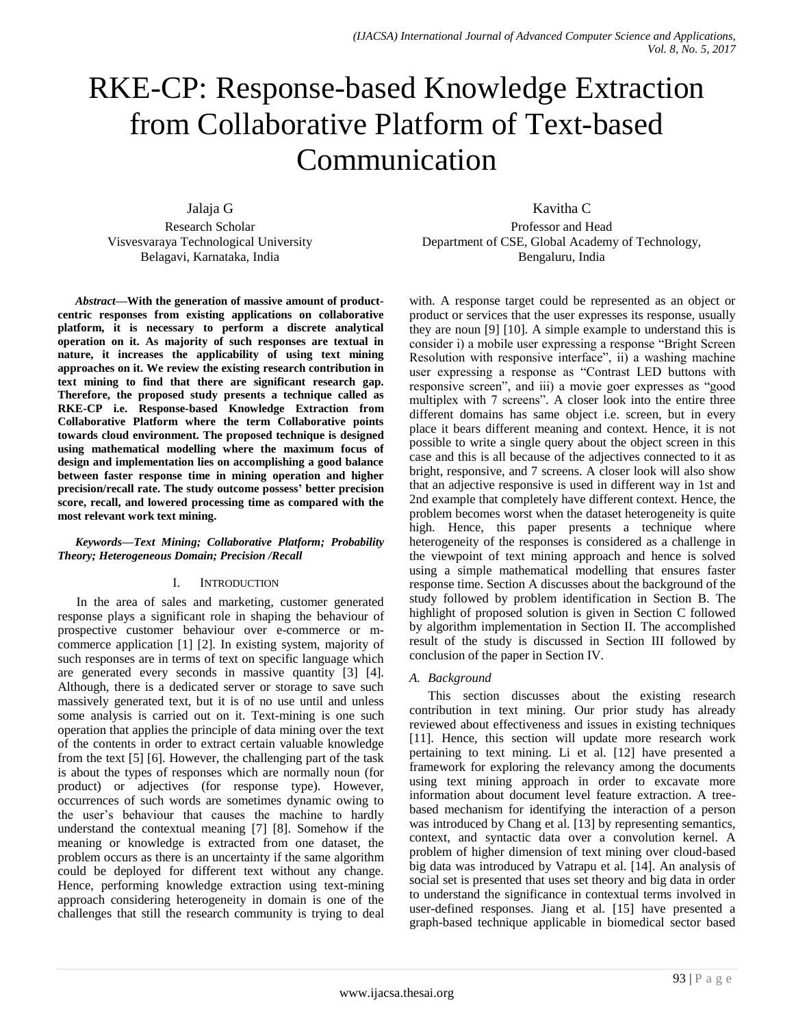# RKE-CP: Response-based Knowledge Extraction from Collaborative Platform of Text-based Communication

Jalaja G

Research Scholar Visvesvaraya Technological University Belagavi, Karnataka, India

Kavitha C

Professor and Head Department of CSE, Global Academy of Technology, Bengaluru, India

*Abstract***—With the generation of massive amount of productcentric responses from existing applications on collaborative platform, it is necessary to perform a discrete analytical operation on it. As majority of such responses are textual in nature, it increases the applicability of using text mining approaches on it. We review the existing research contribution in text mining to find that there are significant research gap. Therefore, the proposed study presents a technique called as RKE-CP i.e. Response-based Knowledge Extraction from Collaborative Platform where the term Collaborative points towards cloud environment. The proposed technique is designed using mathematical modelling where the maximum focus of design and implementation lies on accomplishing a good balance between faster response time in mining operation and higher precision/recall rate. The study outcome possess' better precision score, recall, and lowered processing time as compared with the most relevant work text mining.**

## *Keywords—Text Mining; Collaborative Platform; Probability Theory; Heterogeneous Domain; Precision /Recall*

# I. INTRODUCTION

In the area of sales and marketing, customer generated response plays a significant role in shaping the behaviour of prospective customer behaviour over e-commerce or mcommerce application [1] [2]. In existing system, majority of such responses are in terms of text on specific language which are generated every seconds in massive quantity [3] [4]. Although, there is a dedicated server or storage to save such massively generated text, but it is of no use until and unless some analysis is carried out on it. Text-mining is one such operation that applies the principle of data mining over the text of the contents in order to extract certain valuable knowledge from the text [5] [6]. However, the challenging part of the task is about the types of responses which are normally noun (for product) or adjectives (for response type). However, occurrences of such words are sometimes dynamic owing to the user's behaviour that causes the machine to hardly understand the contextual meaning [7] [8]. Somehow if the meaning or knowledge is extracted from one dataset, the problem occurs as there is an uncertainty if the same algorithm could be deployed for different text without any change. Hence, performing knowledge extraction using text-mining approach considering heterogeneity in domain is one of the challenges that still the research community is trying to deal

with. A response target could be represented as an object or product or services that the user expresses its response, usually they are noun [9] [10]. A simple example to understand this is consider i) a mobile user expressing a response "Bright Screen Resolution with responsive interface", ii) a washing machine user expressing a response as "Contrast LED buttons with responsive screen", and iii) a movie goer expresses as "good multiplex with 7 screens". A closer look into the entire three different domains has same object i.e. screen, but in every place it bears different meaning and context. Hence, it is not possible to write a single query about the object screen in this case and this is all because of the adjectives connected to it as bright, responsive, and 7 screens. A closer look will also show that an adjective responsive is used in different way in 1st and 2nd example that completely have different context. Hence, the problem becomes worst when the dataset heterogeneity is quite high. Hence, this paper presents a technique where heterogeneity of the responses is considered as a challenge in the viewpoint of text mining approach and hence is solved using a simple mathematical modelling that ensures faster response time. Section A discusses about the background of the study followed by problem identification in Section B. The highlight of proposed solution is given in Section C followed by algorithm implementation in Section II. The accomplished result of the study is discussed in Section III followed by conclusion of the paper in Section IV.

# *A. Background*

This section discusses about the existing research contribution in text mining. Our prior study has already reviewed about effectiveness and issues in existing techniques [11]. Hence, this section will update more research work pertaining to text mining. Li et al. [12] have presented a framework for exploring the relevancy among the documents using text mining approach in order to excavate more information about document level feature extraction. A treebased mechanism for identifying the interaction of a person was introduced by Chang et al. [13] by representing semantics, context, and syntactic data over a convolution kernel. A problem of higher dimension of text mining over cloud-based big data was introduced by Vatrapu et al. [14]. An analysis of social set is presented that uses set theory and big data in order to understand the significance in contextual terms involved in user-defined responses. Jiang et al. [15] have presented a graph-based technique applicable in biomedical sector based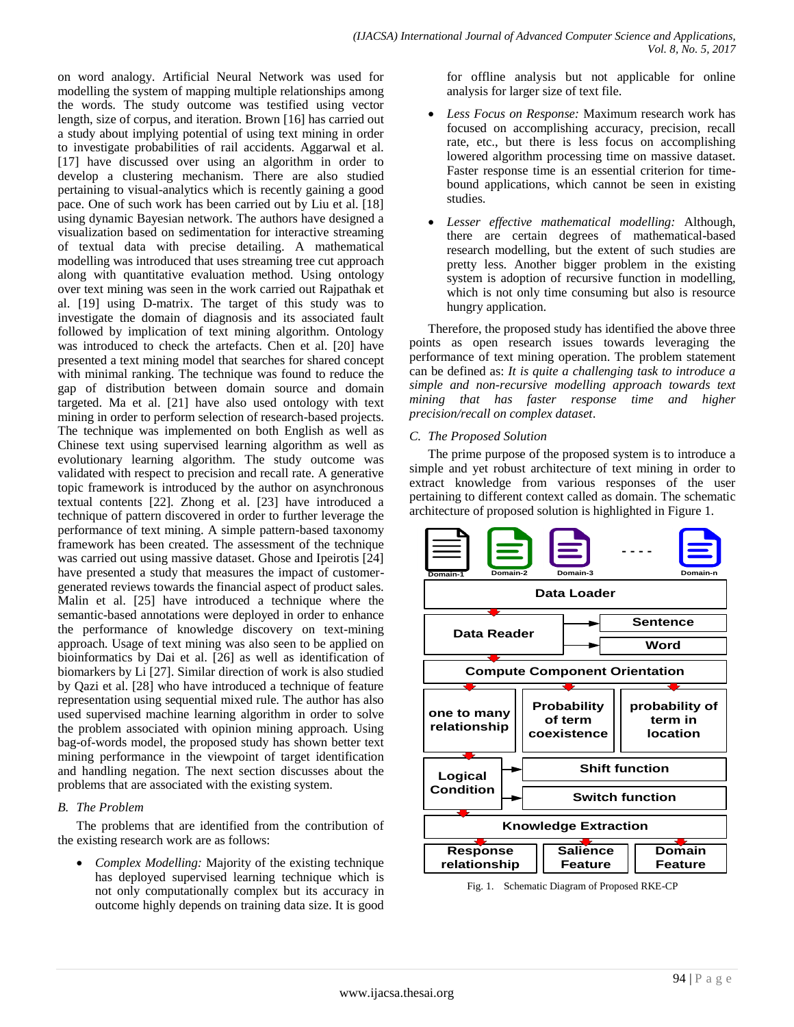on word analogy. Artificial Neural Network was used for modelling the system of mapping multiple relationships among the words. The study outcome was testified using vector length, size of corpus, and iteration. Brown [16] has carried out a study about implying potential of using text mining in order to investigate probabilities of rail accidents. Aggarwal et al. [17] have discussed over using an algorithm in order to develop a clustering mechanism. There are also studied pertaining to visual-analytics which is recently gaining a good pace. One of such work has been carried out by Liu et al. [18] using dynamic Bayesian network. The authors have designed a visualization based on sedimentation for interactive streaming of textual data with precise detailing. A mathematical modelling was introduced that uses streaming tree cut approach along with quantitative evaluation method. Using ontology over text mining was seen in the work carried out Rajpathak et al. [19] using D-matrix. The target of this study was to investigate the domain of diagnosis and its associated fault followed by implication of text mining algorithm. Ontology was introduced to check the artefacts. Chen et al. [20] have presented a text mining model that searches for shared concept with minimal ranking. The technique was found to reduce the gap of distribution between domain source and domain targeted. Ma et al. [21] have also used ontology with text mining in order to perform selection of research-based projects. The technique was implemented on both English as well as Chinese text using supervised learning algorithm as well as evolutionary learning algorithm. The study outcome was validated with respect to precision and recall rate. A generative topic framework is introduced by the author on asynchronous textual contents [22]. Zhong et al. [23] have introduced a technique of pattern discovered in order to further leverage the performance of text mining. A simple pattern-based taxonomy framework has been created. The assessment of the technique was carried out using massive dataset. Ghose and Ipeirotis [24] have presented a study that measures the impact of customergenerated reviews towards the financial aspect of product sales. Malin et al. [25] have introduced a technique where the semantic-based annotations were deployed in order to enhance the performance of knowledge discovery on text-mining approach. Usage of text mining was also seen to be applied on bioinformatics by Dai et al. [26] as well as identification of biomarkers by Li [27]. Similar direction of work is also studied by Qazi et al. [28] who have introduced a technique of feature representation using sequential mixed rule. The author has also used supervised machine learning algorithm in order to solve the problem associated with opinion mining approach. Using bag-of-words model, the proposed study has shown better text mining performance in the viewpoint of target identification and handling negation. The next section discusses about the problems that are associated with the existing system.

## *B. The Problem*

The problems that are identified from the contribution of the existing research work are as follows:

 *Complex Modelling:* Majority of the existing technique has deployed supervised learning technique which is not only computationally complex but its accuracy in outcome highly depends on training data size. It is good for offline analysis but not applicable for online analysis for larger size of text file.

- *Less Focus on Response:* Maximum research work has focused on accomplishing accuracy, precision, recall rate, etc., but there is less focus on accomplishing lowered algorithm processing time on massive dataset. Faster response time is an essential criterion for timebound applications, which cannot be seen in existing studies.
- *Lesser effective mathematical modelling:* Although, there are certain degrees of mathematical-based research modelling, but the extent of such studies are pretty less. Another bigger problem in the existing system is adoption of recursive function in modelling, which is not only time consuming but also is resource hungry application.

Therefore, the proposed study has identified the above three points as open research issues towards leveraging the performance of text mining operation. The problem statement can be defined as: *It is quite a challenging task to introduce a simple and non-recursive modelling approach towards text mining that has faster response time and higher precision/recall on complex dataset*.

# *C. The Proposed Solution*

The prime purpose of the proposed system is to introduce a simple and yet robust architecture of text mining in order to extract knowledge from various responses of the user pertaining to different context called as domain. The schematic architecture of proposed solution is highlighted in Figure 1.



Fig. 1. Schematic Diagram of Proposed RKE-CP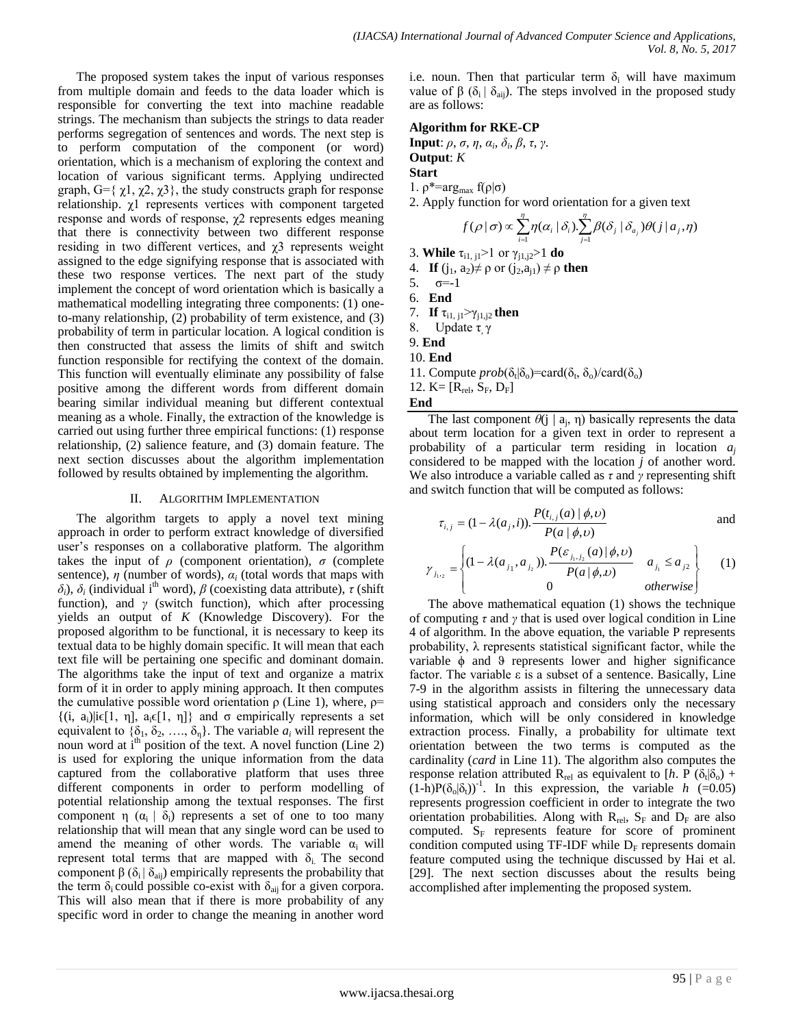The proposed system takes the input of various responses from multiple domain and feeds to the data loader which is responsible for converting the text into machine readable strings. The mechanism than subjects the strings to data reader performs segregation of sentences and words. The next step is to perform computation of the component (or word) orientation, which is a mechanism of exploring the context and location of various significant terms. Applying undirected graph,  $G = \{ \chi_1, \chi_2, \chi_3 \}$ , the study constructs graph for response relationship. χ1 represents vertices with component targeted response and words of response, χ2 represents edges meaning that there is connectivity between two different response residing in two different vertices, and  $\chi$ 3 represents weight assigned to the edge signifying response that is associated with these two response vertices. The next part of the study implement the concept of word orientation which is basically a mathematical modelling integrating three components: (1) oneto-many relationship, (2) probability of term existence, and (3) probability of term in particular location. A logical condition is then constructed that assess the limits of shift and switch function responsible for rectifying the context of the domain. This function will eventually eliminate any possibility of false positive among the different words from different domain bearing similar individual meaning but different contextual meaning as a whole. Finally, the extraction of the knowledge is carried out using further three empirical functions: (1) response relationship, (2) salience feature, and (3) domain feature. The next section discusses about the algorithm implementation followed by results obtained by implementing the algorithm.

#### II. ALGORITHM IMPLEMENTATION

The algorithm targets to apply a novel text mining approach in order to perform extract knowledge of diversified user's responses on a collaborative platform. The algorithm takes the input of  $\rho$  (component orientation),  $\sigma$  (complete sentence),  $\eta$  (number of words),  $\alpha_i$  (total words that maps with *δ*<sup>*j*</sup>), *δ*<sup>*j*</sup> (individual i<sup>th</sup> word), *β* (coexisting data attribute), *τ* (shift function), and *γ* (switch function), which after processing yields an output of *K* (Knowledge Discovery). For the proposed algorithm to be functional, it is necessary to keep its textual data to be highly domain specific. It will mean that each text file will be pertaining one specific and dominant domain. The algorithms take the input of text and organize a matrix form of it in order to apply mining approach. It then computes the cumulative possible word orientation  $\rho$  (Line 1), where,  $\rho$ =  $\{(i, a_i)|i\in[1, \eta], a_i\in[1, \eta]\}$  and  $\sigma$  empirically represents a set equivalent to  $\{\delta_1, \delta_2, \ldots, \delta_n\}$ . The variable  $a_i$  will represent the noun word at i<sup>th</sup> position of the text. A novel function (Line 2) is used for exploring the unique information from the data captured from the collaborative platform that uses three different components in order to perform modelling of potential relationship among the textual responses. The first component η  $(\alpha_i | \delta_i)$  represents a set of one to too many relationship that will mean that any single word can be used to amend the meaning of other words. The variable  $\alpha_i$  will represent total terms that are mapped with  $\delta_i$ . The second component β ( $\delta_i | \delta_{\rm aii}$ ) empirically represents the probability that the term  $\delta_i$  could possible co-exist with  $\delta_{ai}$  for a given corpora. This will also mean that if there is more probability of any specific word in order to change the meaning in another word i.e. noun. Then that particular term  $\delta_i$  will have maximum value of β ( $\delta_i$  |  $\delta_{\text{ai}}$ ). The steps involved in the proposed study are as follows:

## **Algorithm for RKE-CP**

**Input**: *ρ*, *σ*, *η*, *α<sup>i</sup>* , *δ<sup>i</sup>* , *β*, *τ*, *γ*. **Output**: *K*

# **Start**

1.  $ρ^* = arg_{max} f(ρ | σ)$ 

2. Apply function for word orientation for a given text

$$
f(\rho \,|\, \sigma) \! \propto \! \sum_{i=1}^{\eta} \! \eta(\alpha_i \,|\, \delta_i).\!\sum_{j=1}^{\eta} \! \beta(\delta_j \,|\, \delta_{a_j}) \theta(j \,|\, a_j,\! \eta)
$$

3. While 
$$
\tau_{i1,\,j1} \geq 1
$$
 or  $\gamma_{j1,j2} \geq 1$  do

- 4. **If**  $(j_1, a_2) \neq \rho$  or  $(j_2, a_{i_1}) \neq \rho$  **then**
- 5.  $\sigma = -1$
- 6. **End**
- 
- 7. **If**  $\tau_{i1, j1} > \gamma_{j1, j2}$  then
- 8. Update η, γ
- 9. **End**
- 10. **End**
- 11. Compute  $prob(\delta_t|\delta_0) = card(\delta_t, \delta_0)/card(\delta_0)$
- 12.  $K=[R_{rel}, S_F, D_F]$

**End**

The last component  $\theta(j \mid a_j, \eta)$  basically represents the data about term location for a given text in order to represent a probability of a particular term residing in location *a<sup>j</sup>* considered to be mapped with the location *j* of another word. We also introduce a variable called as *τ* and *γ* representing shift and switch function that will be computed as follows:

$$
\tau_{i,j} = (1 - \lambda(a_j, i)). \frac{P(t_{i,j}(a) | \phi, v)}{P(a | \phi, v)}
$$
 and

$$
\gamma_{j_{1},2} = \begin{cases} (1 - \lambda(a_{j_1}, a_{j_2})) \cdot \frac{P(\varepsilon_{j_1,j_2}(a) | \phi, v)}{P(a | \phi, v)} & a_{j_1} \le a_{j_2} \\ 0 & otherwise \end{cases}
$$
 (1)

The above mathematical equation (1) shows the technique of computing *τ* and *γ* that is used over logical condition in Line 4 of algorithm. In the above equation, the variable P represents probability, λ represents statistical significant factor, while the variable  $\phi$  and  $\theta$  represents lower and higher significance factor. The variable ε is a subset of a sentence. Basically, Line 7-9 in the algorithm assists in filtering the unnecessary data using statistical approach and considers only the necessary information, which will be only considered in knowledge extraction process. Finally, a probability for ultimate text orientation between the two terms is computed as the cardinality (*card* in Line 11). The algorithm also computes the response relation attributed R<sub>rel</sub> as equivalent to [h. P ( $\delta_t|\delta_o$ ) +  $(1-h)P(\delta_0|\delta_t)^{-1}$ . In this expression, the variable *h* (=0.05) represents progression coefficient in order to integrate the two orientation probabilities. Along with  $R_{rel}$ ,  $S_F$  and  $D_F$  are also computed.  $S_F$  represents feature for score of prominent condition computed using TF-IDF while  $D_F$  represents domain feature computed using the technique discussed by Hai et al. [29]. The next section discusses about the results being accomplished after implementing the proposed system.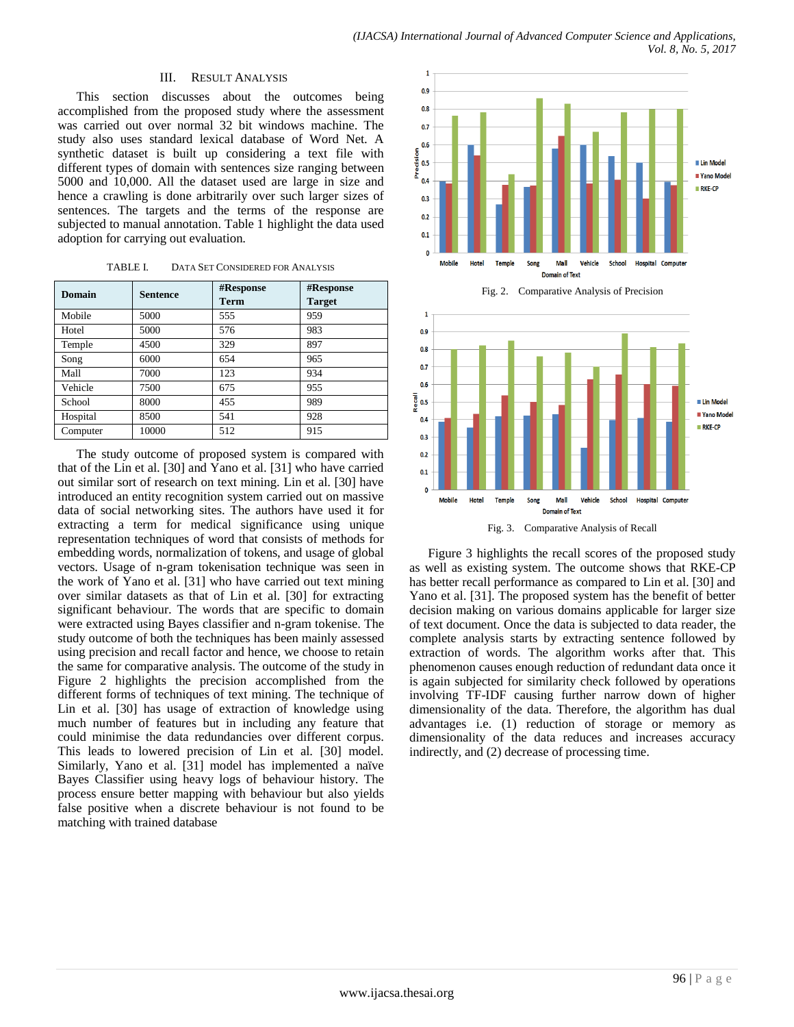#### III. RESULT ANALYSIS

This section discusses about the outcomes being accomplished from the proposed study where the assessment was carried out over normal 32 bit windows machine. The study also uses standard lexical database of Word Net. A synthetic dataset is built up considering a text file with different types of domain with sentences size ranging between 5000 and 10,000. All the dataset used are large in size and hence a crawling is done arbitrarily over such larger sizes of sentences. The targets and the terms of the response are subjected to manual annotation. Table 1 highlight the data used adoption for carrying out evaluation.

TABLE I. DATA SET CONSIDERED FOR ANALYSIS

| Domain   | <b>Sentence</b> | #Response<br><b>Term</b> | #Response<br><b>Target</b> |
|----------|-----------------|--------------------------|----------------------------|
| Mobile   | 5000            | 555                      | 959                        |
| Hotel    | 5000            | 576                      | 983                        |
| Temple   | 4500            | 329                      | 897                        |
| Song     | 6000            | 654                      | 965                        |
| Mall     | 7000            | 123                      | 934                        |
| Vehicle  | 7500            | 675                      | 955                        |
| School   | 8000            | 455                      | 989                        |
| Hospital | 8500            | 541                      | 928                        |
| Computer | 10000           | 512                      | 915                        |

The study outcome of proposed system is compared with that of the Lin et al. [30] and Yano et al. [31] who have carried out similar sort of research on text mining. Lin et al. [30] have introduced an entity recognition system carried out on massive data of social networking sites. The authors have used it for extracting a term for medical significance using unique representation techniques of word that consists of methods for embedding words, normalization of tokens, and usage of global vectors. Usage of n-gram tokenisation technique was seen in the work of Yano et al. [31] who have carried out text mining over similar datasets as that of Lin et al. [30] for extracting significant behaviour. The words that are specific to domain were extracted using Bayes classifier and n-gram tokenise. The study outcome of both the techniques has been mainly assessed using precision and recall factor and hence, we choose to retain the same for comparative analysis. The outcome of the study in Figure 2 highlights the precision accomplished from the different forms of techniques of text mining. The technique of Lin et al. [30] has usage of extraction of knowledge using much number of features but in including any feature that could minimise the data redundancies over different corpus. This leads to lowered precision of Lin et al. [30] model. Similarly, Yano et al. [31] model has implemented a naïve Bayes Classifier using heavy logs of behaviour history. The process ensure better mapping with behaviour but also yields false positive when a discrete behaviour is not found to be matching with trained database







Fig. 3. Comparative Analysis of Recall

Figure 3 highlights the recall scores of the proposed study as well as existing system. The outcome shows that RKE-CP has better recall performance as compared to Lin et al. [30] and Yano et al. [31]. The proposed system has the benefit of better decision making on various domains applicable for larger size of text document. Once the data is subjected to data reader, the complete analysis starts by extracting sentence followed by extraction of words. The algorithm works after that. This phenomenon causes enough reduction of redundant data once it is again subjected for similarity check followed by operations involving TF-IDF causing further narrow down of higher dimensionality of the data. Therefore, the algorithm has dual advantages i.e. (1) reduction of storage or memory as dimensionality of the data reduces and increases accuracy indirectly, and (2) decrease of processing time.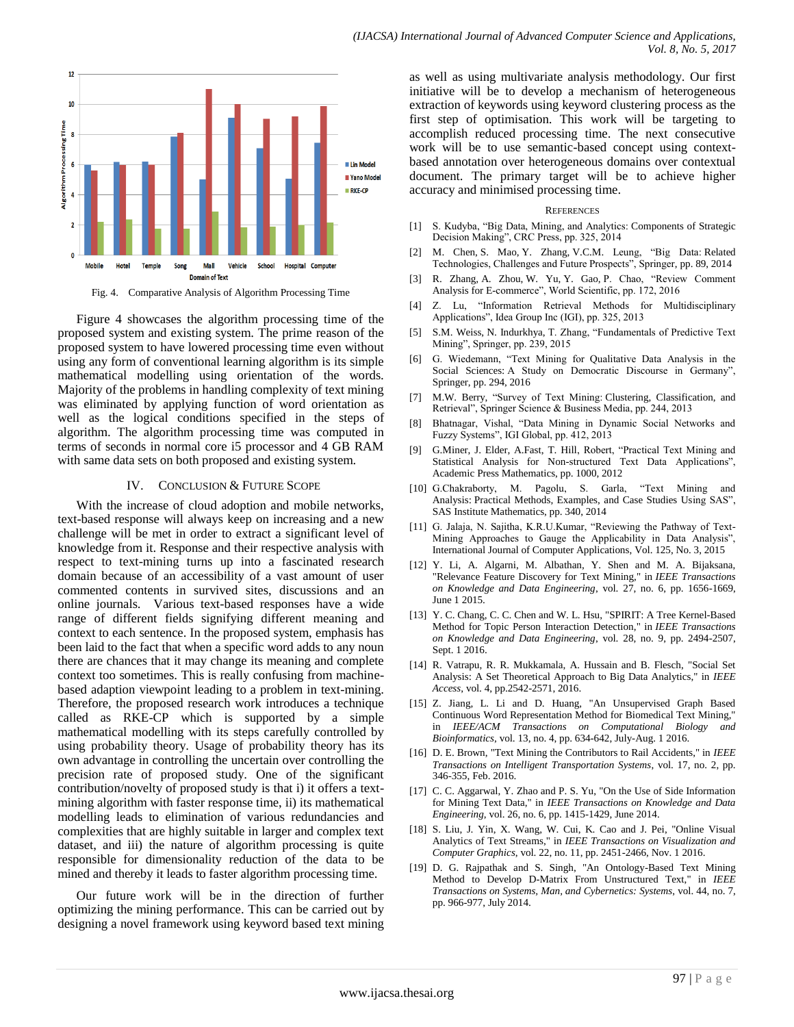

Fig. 4. Comparative Analysis of Algorithm Processing Time

Figure 4 showcases the algorithm processing time of the proposed system and existing system. The prime reason of the proposed system to have lowered processing time even without using any form of conventional learning algorithm is its simple mathematical modelling using orientation of the words. Majority of the problems in handling complexity of text mining was eliminated by applying function of word orientation as well as the logical conditions specified in the steps of algorithm. The algorithm processing time was computed in terms of seconds in normal core i5 processor and 4 GB RAM with same data sets on both proposed and existing system.

#### IV. CONCLUSION & FUTURE SCOPE

With the increase of cloud adoption and mobile networks, text-based response will always keep on increasing and a new challenge will be met in order to extract a significant level of knowledge from it. Response and their respective analysis with respect to text-mining turns up into a fascinated research domain because of an accessibility of a vast amount of user commented contents in survived sites, discussions and an online journals. Various text-based responses have a wide range of different fields signifying different meaning and context to each sentence. In the proposed system, emphasis has been laid to the fact that when a specific word adds to any noun there are chances that it may change its meaning and complete context too sometimes. This is really confusing from machinebased adaption viewpoint leading to a problem in text-mining. Therefore, the proposed research work introduces a technique called as RKE-CP which is supported by a simple mathematical modelling with its steps carefully controlled by using probability theory. Usage of probability theory has its own advantage in controlling the uncertain over controlling the precision rate of proposed study. One of the significant contribution/novelty of proposed study is that i) it offers a textmining algorithm with faster response time, ii) its mathematical modelling leads to elimination of various redundancies and complexities that are highly suitable in larger and complex text dataset, and iii) the nature of algorithm processing is quite responsible for dimensionality reduction of the data to be mined and thereby it leads to faster algorithm processing time.

Our future work will be in the direction of further optimizing the mining performance. This can be carried out by designing a novel framework using keyword based text mining as well as using multivariate analysis methodology. Our first initiative will be to develop a mechanism of heterogeneous extraction of keywords using keyword clustering process as the first step of optimisation. This work will be targeting to accomplish reduced processing time. The next consecutive work will be to use semantic-based concept using contextbased annotation over heterogeneous domains over contextual document. The primary target will be to achieve higher accuracy and minimised processing time.

#### **REFERENCES**

- [1] S. Kudyba, "Big Data, Mining, and Analytics: Components of Strategic Decision Making", CRC Press, pp. 325, 2014
- [2] M. Chen, S. Mao, Y. Zhang, V.C.M. Leung, "Big Data: Related Technologies, Challenges and Future Prospects", Springer, pp. 89, 2014
- [3] R. Zhang, A. Zhou, W. Yu, Y. Gao, P. Chao, "Review Comment Analysis for E-commerce", World Scientific, pp. 172, 2016
- [4] Z. Lu, "Information Retrieval Methods for Multidisciplinary Applications", Idea Group Inc (IGI), pp. 325, 2013
- [5] S.M. Weiss, N. Indurkhya, T. Zhang, "Fundamentals of Predictive Text Mining", Springer, pp. 239, 2015
- [6] G. Wiedemann, "Text Mining for Qualitative Data Analysis in the Social Sciences: A Study on Democratic Discourse in Germany", Springer, pp. 294, 2016
- [7] M.W. Berry, "Survey of Text Mining: Clustering, Classification, and Retrieval", Springer Science & Business Media, pp. 244, 2013
- [8] Bhatnagar, Vishal, "Data Mining in Dynamic Social Networks and Fuzzy Systems", IGI Global, pp. 412, 2013
- [9] G.Miner, J. Elder, A.Fast, T. Hill, Robert, "Practical Text Mining and Statistical Analysis for Non-structured Text Data Applications", Academic Press Mathematics, pp. 1000, 2012
- [10] G.Chakraborty, M. Pagolu, S. Garla, "Text Mining and Analysis: Practical Methods, Examples, and Case Studies Using SAS", SAS Institute Mathematics, pp. 340, 2014
- [11] G. Jalaja, N. Sajitha, K.R.U.Kumar, "Reviewing the Pathway of Text-Mining Approaches to Gauge the Applicability in Data Analysis", International Journal of Computer Applications, Vol. 125, No. 3, 2015
- [12] Y. Li, A. Algarni, M. Albathan, Y. Shen and M. A. Bijaksana, "Relevance Feature Discovery for Text Mining," in *IEEE Transactions on Knowledge and Data Engineering*, vol. 27, no. 6, pp. 1656-1669, June 1 2015.
- [13] Y. C. Chang, C. C. Chen and W. L. Hsu, "SPIRIT: A Tree Kernel-Based Method for Topic Person Interaction Detection," in *IEEE Transactions on Knowledge and Data Engineering*, vol. 28, no. 9, pp. 2494-2507, Sept. 1 2016.
- [14] R. Vatrapu, R. R. Mukkamala, A. Hussain and B. Flesch, "Social Set Analysis: A Set Theoretical Approach to Big Data Analytics," in *IEEE Access*, vol. 4, pp.2542-2571, 2016.
- [15] Z. Jiang, L. Li and D. Huang, "An Unsupervised Graph Based Continuous Word Representation Method for Biomedical Text Mining," in *IEEE/ACM Transactions on Computational Biology and Bioinformatics*, vol. 13, no. 4, pp. 634-642, July-Aug. 1 2016.
- [16] D. E. Brown, "Text Mining the Contributors to Rail Accidents," in *IEEE Transactions on Intelligent Transportation Systems*, vol. 17, no. 2, pp. 346-355, Feb. 2016.
- [17] C. C. Aggarwal, Y. Zhao and P. S. Yu, "On the Use of Side Information for Mining Text Data," in *IEEE Transactions on Knowledge and Data Engineering*, vol. 26, no. 6, pp. 1415-1429, June 2014.
- [18] S. Liu, J. Yin, X. Wang, W. Cui, K. Cao and J. Pei, "Online Visual Analytics of Text Streams," in *IEEE Transactions on Visualization and Computer Graphics*, vol. 22, no. 11, pp. 2451-2466, Nov. 1 2016.
- [19] D. G. Rajpathak and S. Singh, "An Ontology-Based Text Mining Method to Develop D-Matrix From Unstructured Text," in *IEEE Transactions on Systems, Man, and Cybernetics: Systems*, vol. 44, no. 7, pp. 966-977, July 2014.